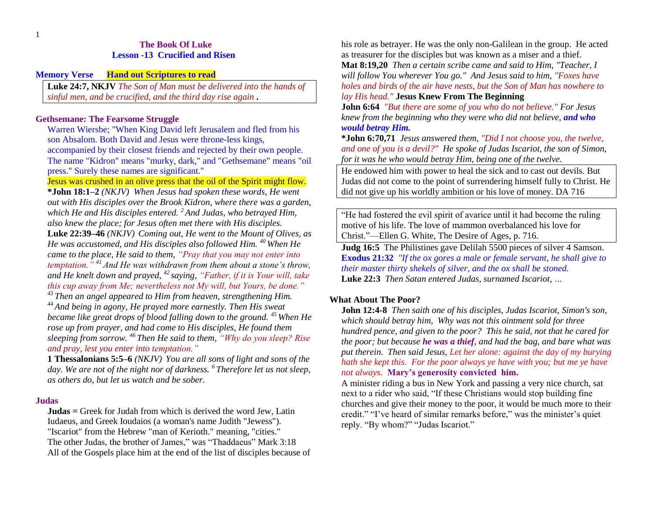## **The Book Of Luke Lesson -13 Crucified and Risen**

**Memory Verse Hand out Scriptures to read**

**Luke 24:7, NKJV** *The Son of Man must be delivered into the hands of sinful men, and be crucified, and the third day rise again* **.**

#### **Gethsemane: The Fearsome Struggle**

Warren Wiersbe; "When King David left Jerusalem and fled from his son Absalom. Both David and Jesus were throne-less kings, accompanied by their closest friends and rejected by their own people. The name "Kidron" means "murky, dark," and "Gethsemane" means "oil press." Surely these names are significant."

Jesus was crushed in an olive press that the oil of the Spirit might flow. **\*John 18:1–2** *(NKJV) When Jesus had spoken these words, He went out with His disciples over the Brook Kidron, where there was a garden, which He and His disciples entered. <sup>2</sup>And Judas, who betrayed Him, also knew the place; for Jesus often met there with His disciples.* 

**Luke 22:39–46** *(NKJV) Coming out, He went to the Mount of Olives, as He was accustomed, and His disciples also followed Him. <sup>40</sup> When He came to the place, He said to them, "Pray that you may not enter into temptation." <sup>41</sup> And He was withdrawn from them about a stone's throw, and He knelt down and prayed, <sup>42</sup> saying, "Father, if it is Your will, take this cup away from Me; nevertheless not My will, but Yours, be done."* 

*<sup>43</sup> Then an angel appeared to Him from heaven, strengthening Him. <sup>44</sup> And being in agony, He prayed more earnestly. Then His sweat became like great drops of blood falling down to the ground. <sup>45</sup> When He rose up from prayer, and had come to His disciples, He found them sleeping from sorrow. <sup>46</sup> Then He said to them, "Why do you sleep? Rise and pray, lest you enter into temptation."* 

**1 Thessalonians 5:5–6** *(NKJV) You are all sons of light and sons of the day. We are not of the night nor of darkness. <sup>6</sup> Therefore let us not sleep, as others do, but let us watch and be sober.* 

#### **Judas**

**Judas =** Greek for Judah from which is derived the word Jew, Latin Iudaeus, and Greek Ioudaios (a woman's name Judith "Jewess"). "Iscariot" from the Hebrew "man of Kerioth." meaning, "cities." The other Judas, the brother of James," was "Thaddaeus" Mark 3:18 All of the Gospels place him at the end of the list of disciples because of his role as betrayer. He was the only non-Galilean in the group. He acted as treasurer for the disciples but was known as a miser and a thief.

**Mat 8:19,20** *Then a certain scribe came and said to Him, "Teacher, I will follow You wherever You go." And Jesus said to him, "Foxes have holes and birds of the air have nests, but the Son of Man has nowhere to lay His head."* **Jesus Knew From The Beginning**

**John 6:64** *"But there are some of you who do not believe." For Jesus knew from the beginning who they were who did not believe, and who would betray Him.*

**\*John 6:70,71** *Jesus answered them, "Did I not choose you, the twelve, and one of you is a devil?" He spoke of Judas Iscariot, the son of Simon, for it was he who would betray Him, being one of the twelve.*

He endowed him with power to heal the sick and to cast out devils. But Judas did not come to the point of surrendering himself fully to Christ. He did not give up his worldly ambition or his love of money. DA 716

"He had fostered the evil spirit of avarice until it had become the ruling motive of his life. The love of mammon overbalanced his love for Christ."—Ellen G. White, The Desire of Ages, p. 716.

**Judg 16:5** The Philistines gave Delilah 5500 pieces of silver 4 Samson. **Exodus 21:32** *"If the ox gores a male or female servant, he shall give to their master thirty shekels of silver, and the ox shall be stoned.* **Luke 22:3** *Then Satan entered Judas, surnamed Iscariot, …*

## **What About The Poor?**

**John 12:4-8** *Then saith one of his disciples, Judas Iscariot, Simon's son, which should betray him, Why was not this ointment sold for three hundred pence, and given to the poor? This he said, not that he cared for the poor; but because he was a thief, and had the bag, and bare what was put therein. Then said Jesus, Let her alone: against the day of my burying hath she kept this. For the poor always ye have with you; but me ye have not always.* **Mary's generosity convicted him.**

A minister riding a bus in New York and passing a very nice church, sat next to a rider who said, "If these Christians would stop building fine churches and give their money to the poor, it would be much more to their credit." "I've heard of similar remarks before," was the minister's quiet reply. "By whom?" "Judas Iscariot."